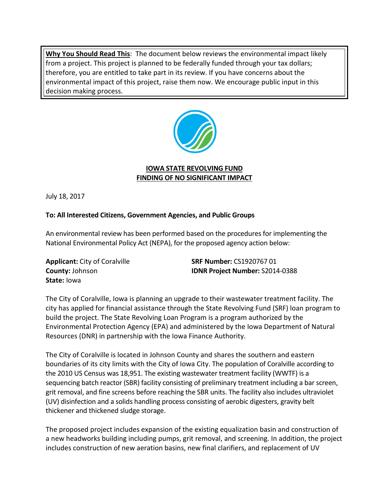**Why You Should Read This**: The document below reviews the environmental impact likely from a project. This project is planned to be federally funded through your tax dollars; therefore, you are entitled to take part in its review. If you have concerns about the environmental impact of this project, raise them now. We encourage public input in this decision making process.



## **IOWA STATE REVOLVING FUND FINDING OF NO SIGNIFICANT IMPACT**

July 18, 2017

## **To: All Interested Citizens, Government Agencies, and Public Groups**

An environmental review has been performed based on the procedures for implementing the National Environmental Policy Act (NEPA), for the proposed agency action below:

**State:** Iowa

**Applicant:** City of Coralville **SRF Number:** CS1920767 01 **County:** Johnson **IDNR Project Number:** S2014-0388

The City of Coralville, Iowa is planning an upgrade to their wastewater treatment facility. The city has applied for financial assistance through the State Revolving Fund (SRF) loan program to build the project. The State Revolving Loan Program is a program authorized by the Environmental Protection Agency (EPA) and administered by the Iowa Department of Natural Resources (DNR) in partnership with the Iowa Finance Authority.

The City of Coralville is located in Johnson County and shares the southern and eastern boundaries of its city limits with the City of Iowa City. The population of Coralville according to the 2010 US Census was 18,951. The existing wastewater treatment facility (WWTF) is a sequencing batch reactor (SBR) facility consisting of preliminary treatment including a bar screen, grit removal, and fine screens before reaching the SBR units. The facility also includes ultraviolet (UV) disinfection and a solids handling process consisting of aerobic digesters, gravity belt thickener and thickened sludge storage.

The proposed project includes expansion of the existing equalization basin and construction of a new headworks building including pumps, grit removal, and screening. In addition, the project includes construction of new aeration basins, new final clarifiers, and replacement of UV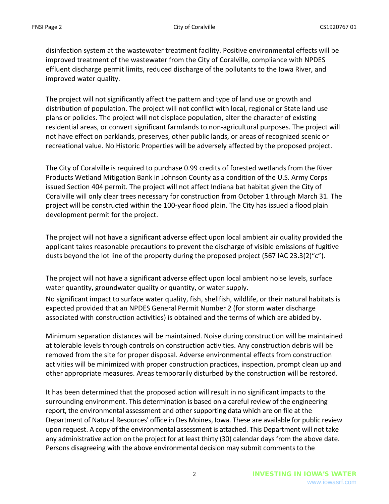disinfection system at the wastewater treatment facility. Positive environmental effects will be improved treatment of the wastewater from the City of Coralville, compliance with NPDES effluent discharge permit limits, reduced discharge of the pollutants to the Iowa River, and improved water quality.

The project will not significantly affect the pattern and type of land use or growth and distribution of population. The project will not conflict with local, regional or State land use plans or policies. The project will not displace population, alter the character of existing residential areas, or convert significant farmlands to non-agricultural purposes. The project will not have effect on parklands, preserves, other public lands, or areas of recognized scenic or recreational value. No Historic Properties will be adversely affected by the proposed project.

The City of Coralville is required to purchase 0.99 credits of forested wetlands from the River Products Wetland Mitigation Bank in Johnson County as a condition of the U.S. Army Corps issued Section 404 permit. The project will not affect Indiana bat habitat given the City of Coralville will only clear trees necessary for construction from October 1 through March 31. The project will be constructed within the 100-year flood plain. The City has issued a flood plain development permit for the project.

The project will not have a significant adverse effect upon local ambient air quality provided the applicant takes reasonable precautions to prevent the discharge of visible emissions of fugitive dusts beyond the lot line of the property during the proposed project (567 IAC 23.3(2)"c").

The project will not have a significant adverse effect upon local ambient noise levels, surface water quantity, groundwater quality or quantity, or water supply.

No significant impact to surface water quality, fish, shellfish, wildlife, or their natural habitats is expected provided that an NPDES General Permit Number 2 (for storm water discharge associated with construction activities) is obtained and the terms of which are abided by.

Minimum separation distances will be maintained. Noise during construction will be maintained at tolerable levels through controls on construction activities. Any construction debris will be removed from the site for proper disposal. Adverse environmental effects from construction activities will be minimized with proper construction practices, inspection, prompt clean up and other appropriate measures. Areas temporarily disturbed by the construction will be restored.

It has been determined that the proposed action will result in no significant impacts to the surrounding environment. This determination is based on a careful review of the engineering report, the environmental assessment and other supporting data which are on file at the Department of Natural Resources' office in Des Moines, Iowa. These are available for public review upon request. A copy of the environmental assessment is attached. This Department will not take any administrative action on the project for at least thirty (30) calendar days from the above date. Persons disagreeing with the above environmental decision may submit comments to the